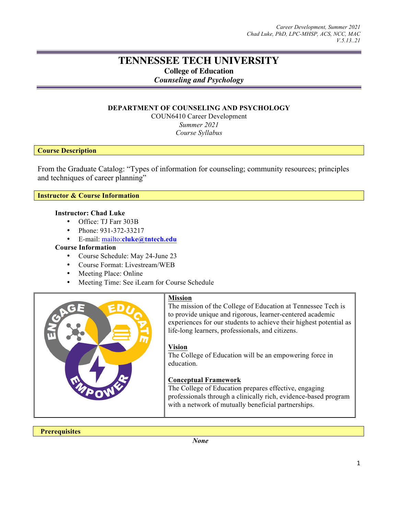# **TENNESSEE TECH UNIVERSITY**

**College of Education**

*Counseling and Psychology*

# **DEPARTMENT OF COUNSELING AND PSYCHOLOGY**

COUN6410 Career Development *Summer 2021 Course Syllabus*

# **Course Description**

From the Graduate Catalog: "Types of information for counseling; community resources; principles and techniques of career planning"

**Instructor & Course Information**

# **Instructor: Chad Luke**

- Office: TJ Farr 303B
- Phone: 931-372-33217
- E-mail: mailto:**cluke@tntech.edu**

# **Course Information**

- Course Schedule: May 24-June 23
- Course Format: Livestream/WEB
- Meeting Place: Online
- Meeting Time: See iLearn for Course Schedule



# **Mission**

The mission of the College of Education at Tennessee Tech is to provide unique and rigorous, learner-centered academic experiences for our students to achieve their highest potential as life-long learners, professionals, and citizens.

# **Vision**

The College of Education will be an empowering force in education.

# **Conceptual Framework**

The College of Education prepares effective, engaging professionals through a clinically rich, evidence-based program with a network of mutually beneficial partnerships.

**Prerequisites**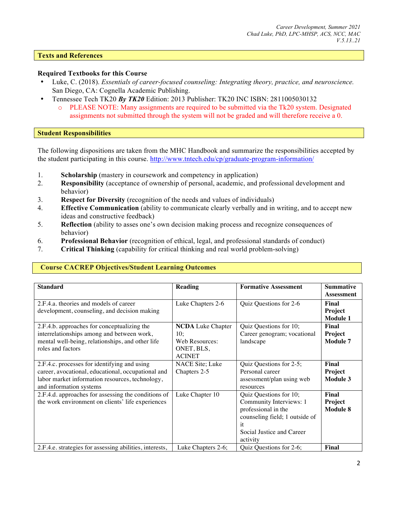# **Texts and References**

## **Required Textbooks for this Course**

- Luke, C. (2018). *Essentials of career-focused counseling: Integrating theory, practice, and neuroscience.* San Diego, CA: Cognella Academic Publishing.
- Tennessee Tech TK20 *By TK20* Edition: 2013 Publisher: TK20 INC ISBN: 2811005030132
	- o PLEASE NOTE: Many assignments are required to be submitted via the Tk20 system. Designated assignments not submitted through the system will not be graded and will therefore receive a 0.

# **Student Responsibilities**

The following dispositions are taken from the MHC Handbook and summarize the responsibilities accepted by the student participating in this course. http://www.tntech.edu/cp/graduate-program-information/

- 1. **Scholarship** (mastery in coursework and competency in application)
- 2. **Responsibility** (acceptance of ownership of personal, academic, and professional development and behavior)
- 3. **Respect for Diversity** (recognition of the needs and values of individuals)
- 4. **Effective Communication** (ability to communicate clearly verbally and in writing, and to accept new ideas and constructive feedback)
- 5. **Reflection** (ability to asses one's own decision making process and recognize consequences of behavior)
- 6. **Professional Behavior** (recognition of ethical, legal, and professional standards of conduct)
- 7. **Critical Thinking** (capability for critical thinking and real world problem-solving)

# **Course CACREP Objectives/Student Learning Outcomes**

| <b>Standard</b>                                         | <b>Reading</b>           | <b>Formative Assessment</b>    | <b>Summative</b> |
|---------------------------------------------------------|--------------------------|--------------------------------|------------------|
|                                                         |                          |                                | Assessment       |
| 2.F.4.a. theories and models of career                  | Luke Chapters 2-6        | Quiz Questions for 2-6         | Final            |
| development, counseling, and decision making            |                          |                                | Project          |
|                                                         |                          |                                | <b>Module 1</b>  |
| 2.F.4.b. approaches for conceptualizing the             | <b>NCDA</b> Luke Chapter | Quiz Questions for 10;         | Final            |
| interrelationships among and between work,              | 10:                      | Career genogram; vocational    | Project          |
| mental well-being, relationships, and other life        | Web Resources:           | landscape                      | <b>Module 7</b>  |
| roles and factors                                       | ONET, BLS,               |                                |                  |
|                                                         | <b>ACINET</b>            |                                |                  |
| 2.F.4.c. processes for identifying and using            | <b>NACE Site</b> ; Luke  | Quiz Questions for 2-5;        | Final            |
| career, avocational, educational, occupational and      | Chapters 2-5             | Personal career                | <b>Project</b>   |
| labor market information resources, technology,         |                          | assessment/plan using web      | Module 3         |
| and information systems                                 |                          | resources                      |                  |
| 2.F.4.d. approaches for assessing the conditions of     | Luke Chapter 10          | Quiz Questions for 10;         | Final            |
| the work environment on clients' life experiences       |                          | Community Interviews: 1        | <b>Project</b>   |
|                                                         |                          | professional in the            | <b>Module 8</b>  |
|                                                         |                          | counseling field; 1 outside of |                  |
|                                                         |                          | it                             |                  |
|                                                         |                          | Social Justice and Career      |                  |
|                                                         |                          | activity                       |                  |
| 2.F.4.e. strategies for assessing abilities, interests, | Luke Chapters 2-6;       | Quiz Questions for 2-6;        | Final            |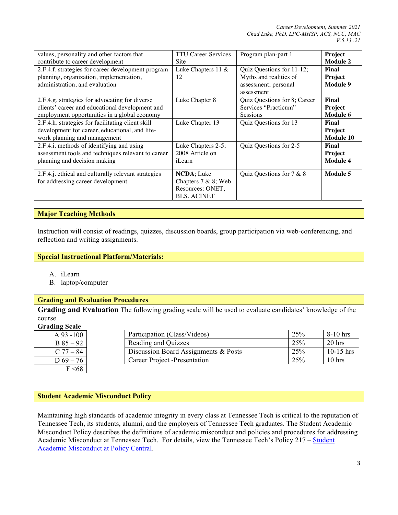| values, personality and other factors that                                                                                          | <b>TTU Career Services</b>                                                            | Program plan-part 1                                                                       | Project                              |
|-------------------------------------------------------------------------------------------------------------------------------------|---------------------------------------------------------------------------------------|-------------------------------------------------------------------------------------------|--------------------------------------|
| contribute to career development                                                                                                    | Site                                                                                  |                                                                                           | <b>Module 2</b>                      |
| 2.F.4.f. strategies for career development program<br>planning, organization, implementation,<br>administration, and evaluation     | Luke Chapters 11 &<br>12                                                              | Quiz Questions for 11-12;<br>Myths and realities of<br>assessment; personal<br>assessment | Final<br>Project<br>Module 9         |
| 2.F.4.g. strategies for advocating for diverse                                                                                      | Luke Chapter 8                                                                        | Quiz Questions for 8; Career                                                              | Final                                |
| clients' career and educational development and                                                                                     |                                                                                       | Services "Practicum"                                                                      | Project                              |
| employment opportunities in a global economy                                                                                        |                                                                                       | <b>Sessions</b>                                                                           | <b>Module 6</b>                      |
| 2.F.4.h. strategies for facilitating client skill<br>development for career, educational, and life-<br>work planning and management | Luke Chapter 13                                                                       | Quiz Questions for 13                                                                     | Final<br>Project<br><b>Module 10</b> |
| 2.F.4.i. methods of identifying and using                                                                                           | Luke Chapters 2-5;                                                                    | Quiz Questions for 2-5                                                                    | Final                                |
| assessment tools and techniques relevant to career                                                                                  | 2008 Article on                                                                       |                                                                                           | <b>Project</b>                       |
| planning and decision making                                                                                                        | iLearn                                                                                |                                                                                           | <b>Module 4</b>                      |
| 2.F.4.j. ethical and culturally relevant strategies<br>for addressing career development                                            | <b>NCDA</b> ; Luke<br>Chapters $7 & 8;$ Web<br>Resources: ONET,<br><b>BLS, ACINET</b> | Quiz Questions for $7 & 8$                                                                | Module 5                             |

# **Major Teaching Methods**

Instruction will consist of readings, quizzes, discussion boards, group participation via web-conferencing, and reflection and writing assignments.

## **Special Instructional Platform/Materials:**

- A. iLearn
- B. laptop/computer

# **Grading and Evaluation Procedures**

**Grading and Evaluation** The following grading scale will be used to evaluate candidates' knowledge of the course.

#### **Grading Scale**

| $A\,93 - 100$ | Participation (Class/Videos)         | 25% | $8-10$ hrs        |
|---------------|--------------------------------------|-----|-------------------|
| $B85 - 92$    | Reading and Quizzes                  | 25% | $20$ hrs          |
| $C$ 77 – 84   | Discussion Board Assignments & Posts | 25% | $10-15$ hrs       |
| $D\,69 - 76$  | Career Project - Presentation        | 25% | 10 <sub>hrs</sub> |
| F < 68        |                                      |     |                   |

#### **Student Academic Misconduct Policy**

Maintaining high standards of academic integrity in every class at Tennessee Tech is critical to the reputation of Tennessee Tech, its students, alumni, and the employers of Tennessee Tech graduates. The Student Academic Misconduct Policy describes the definitions of academic misconduct and policies and procedures for addressing Academic Misconduct at Tennessee Tech. For details, view the Tennessee Tech's Policy 217 – Student Academic Misconduct at Policy Central.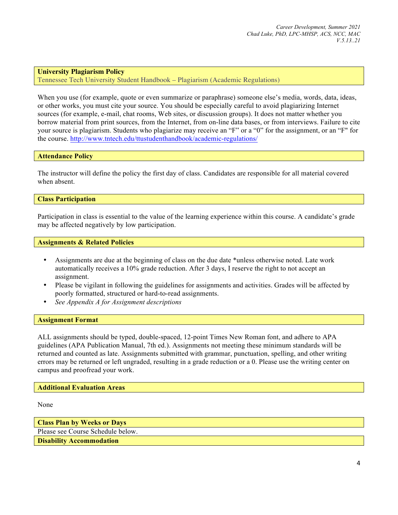### **University Plagiarism Policy**

Tennessee Tech University Student Handbook – Plagiarism (Academic Regulations)

When you use (for example, quote or even summarize or paraphrase) someone else's media, words, data, ideas, or other works, you must cite your source. You should be especially careful to avoid plagiarizing Internet sources (for example, e-mail, chat rooms, Web sites, or discussion groups). It does not matter whether you borrow material from print sources, from the Internet, from on-line data bases, or from interviews. Failure to cite your source is plagiarism. Students who plagiarize may receive an "F" or a "0" for the assignment, or an "F" for the course. http://www.tntech.edu/ttustudenthandbook/academic-regulations/

#### **Attendance Policy**

The instructor will define the policy the first day of class. Candidates are responsible for all material covered when absent.

#### **Class Participation**

Participation in class is essential to the value of the learning experience within this course. A candidate's grade may be affected negatively by low participation.

#### **Assignments & Related Policies**

- Assignments are due at the beginning of class on the due date \*unless otherwise noted. Late work automatically receives a 10% grade reduction. After 3 days, I reserve the right to not accept an assignment.
- Please be vigilant in following the guidelines for assignments and activities. Grades will be affected by poorly formatted, structured or hard-to-read assignments.
- *See Appendix A for Assignment descriptions*

#### **Assignment Format**

ALL assignments should be typed, double-spaced, 12-point Times New Roman font, and adhere to APA guidelines (APA Publication Manual, 7th ed.). Assignments not meeting these minimum standards will be returned and counted as late. Assignments submitted with grammar, punctuation, spelling, and other writing errors may be returned or left ungraded, resulting in a grade reduction or a 0. Please use the writing center on campus and proofread your work.

#### **Additional Evaluation Areas**

None

**Class Plan by Weeks or Days**

Please see Course Schedule below.

**Disability Accommodation**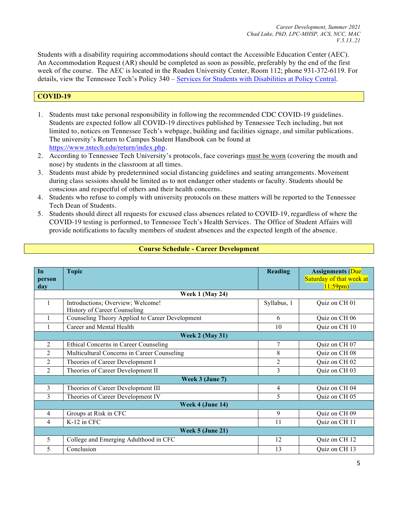Students with a disability requiring accommodations should contact the Accessible Education Center (AEC). An Accommodation Request (AR) should be completed as soon as possible, preferably by the end of the first week of the course. The AEC is located in the Roaden University Center, Room 112; phone 931-372-6119. For details, view the Tennessee Tech's Policy 340 – Services for Students with Disabilities at Policy Central.

# **COVID-19**

- 1. Students must take personal responsibility in following the recommended CDC COVID-19 guidelines. Students are expected follow all COVID-19 directives published by Tennessee Tech including, but not limited to, notices on Tennessee Tech's webpage, building and facilities signage, and similar publications. The university's Return to Campus Student Handbook can be found at https://www.tntech.edu/return/index.php.
- 2. According to Tennessee Tech University's protocols, face coverings must be worn (covering the mouth and nose) by students in the classroom at all times.
- 3. Students must abide by predetermined social distancing guidelines and seating arrangements. Movement during class sessions should be limited as to not endanger other students or faculty. Students should be conscious and respectful of others and their health concerns.
- 4. Students who refuse to comply with university protocols on these matters will be reported to the Tennessee Tech Dean of Students.
- 5. Students should direct all requests for excused class absences related to COVID-19, regardless of where the COVID-19 testing is performed, to Tennessee Tech's Health Services. The Office of Student Affairs will provide notifications to faculty members of student absences and the expected length of the absence.

| In             | <b>Topic</b>                                    | <b>Reading</b> | <b>Assignments</b> (Due  |
|----------------|-------------------------------------------------|----------------|--------------------------|
| person         |                                                 |                | Saturday of that week at |
| day            |                                                 |                | $11:59$ pm)              |
|                | <b>Week 1 (May 24)</b>                          |                |                          |
| 1              | Introductions; Overview; Welcome!               | Syllabus, 1    | Quiz on CH 01            |
|                | History of Career Counseling                    |                |                          |
|                | Counseling Theory Applied to Career Development | 6              | Quiz on CH 06            |
|                | Career and Mental Health                        | 10             | Quiz on CH 10            |
|                | <b>Week 2 (May 31)</b>                          |                |                          |
| 2              | Ethical Concerns in Career Counseling           | 7              | Quiz on CH 07            |
| $\overline{2}$ | Multicultural Concerns in Career Counseling     | 8              | Quiz on CH 08            |
| $\overline{2}$ | Theories of Career Development I                | $\overline{2}$ | Quiz on CH 02            |
| $\overline{2}$ | Theories of Career Development II               | 3              | Quiz on CH 03            |
|                | Week 3 (June 7)                                 |                |                          |
| 3              | Theories of Career Development III              | $\overline{4}$ | Quiz on CH 04            |
| 3              | Theories of Career Development IV               | 5              | Quiz on CH 05            |
|                | Week 4 (June 14)                                |                |                          |
| $\overline{4}$ | Groups at Risk in CFC                           | 9              | Quiz on CH 09            |
| 4              | K-12 in CFC                                     | 11             | Quiz on CH 11            |
|                | Week 5 (June 21)                                |                |                          |
| 5              | College and Emerging Adulthood in CFC           | 12             | Quiz on CH 12            |
| 5              | Conclusion                                      | 13             | Quiz on CH 13            |

# **Course Schedule - Career Development**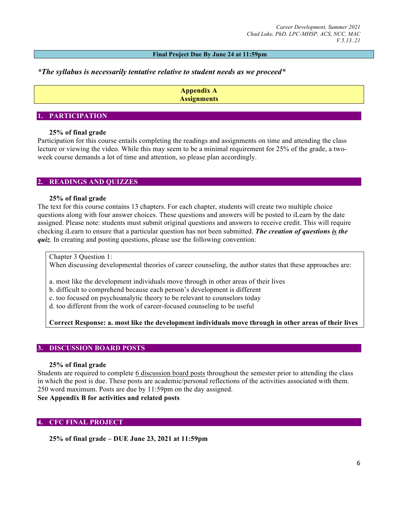#### **Final Project Due By June 24 at 11:59pm**

# *\*The syllabus is necessarily tentative relative to student needs as we proceed\**

**Appendix A Assignments**

### **1. PARTICIPATION**

## **25% of final grade**

Participation for this course entails completing the readings and assignments on time and attending the class lecture or viewing the video. While this may seem to be a minimal requirement for 25% of the grade, a twoweek course demands a lot of time and attention, so please plan accordingly.

# **2. READINGS AND QUIZZES**

### **25% of final grade**

The text for this course contains 13 chapters. For each chapter, students will create two multiple choice questions along with four answer choices. These questions and answers will be posted to iLearn by the date assigned. Please note: students must submit original questions and answers to receive credit. This will require checking iLearn to ensure that a particular question has not been submitted. *The creation of questions is the quiz*. In creating and posting questions, please use the following convention:

Chapter 3 Question 1:

When discussing developmental theories of career counseling, the author states that these approaches are:

a. most like the development individuals move through in other areas of their lives

b. difficult to comprehend because each person's development is different

c. too focused on psychoanalytic theory to be relevant to counselors today

d. too different from the work of career-focused counseling to be useful

# **Correct Response: a. most like the development individuals move through in other areas of their lives**

#### **3. DISCUSSION BOARD POSTS**

#### **25% of final grade**

Students are required to complete 6 discussion board posts throughout the semester prior to attending the class in which the post is due. These posts are academic/personal reflections of the activities associated with them. 250 word maximum. Posts are due by 11:59pm on the day assigned.

# **See Appendix B for activities and related posts**

# **4. CFC FINAL PROJECT**

**25% of final grade – DUE June 23, 2021 at 11:59pm**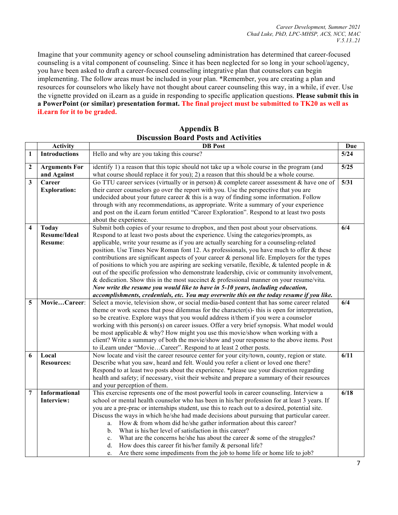Imagine that your community agency or school counseling administration has determined that career-focused counseling is a vital component of counseling. Since it has been neglected for so long in your school/agency, you have been asked to draft a career-focused counseling integrative plan that counselors can begin implementing. The follow areas must be included in your plan. \*Remember, you are creating a plan and resources for counselors who likely have not thought about career counseling this way, in a while, if ever. Use the vignette provided on iLearn as a guide in responding to specific application questions. **Please submit this in a PowerPoint (or similar) presentation format. The final project must be submitted to TK20 as well as iLearn for it to be graded.**

|                         | <b>Activity</b>                                | <b>DB</b> Post                                                                                                                                                                                                                                                                                                                                                                                                                                                                                                                                                                                                                                                                                                                                                                                                                                                                                                                                        | <b>Due</b>        |
|-------------------------|------------------------------------------------|-------------------------------------------------------------------------------------------------------------------------------------------------------------------------------------------------------------------------------------------------------------------------------------------------------------------------------------------------------------------------------------------------------------------------------------------------------------------------------------------------------------------------------------------------------------------------------------------------------------------------------------------------------------------------------------------------------------------------------------------------------------------------------------------------------------------------------------------------------------------------------------------------------------------------------------------------------|-------------------|
| $\mathbf{1}$            | <b>Introductions</b>                           | Hello and why are you taking this course?                                                                                                                                                                                                                                                                                                                                                                                                                                                                                                                                                                                                                                                                                                                                                                                                                                                                                                             | 5/24              |
| $\boldsymbol{2}$        | <b>Arguments For</b><br>and Against            | identify 1) a reason that this topic should not take up a whole course in the program (and<br>what course should replace it for you); 2) a reason that this should be a whole course.                                                                                                                                                                                                                                                                                                                                                                                                                                                                                                                                                                                                                                                                                                                                                                 | 5/25              |
| 3                       | Career<br><b>Exploration:</b>                  | Go TTU career services (virtually or in person) $\&$ complete career assessment $\&$ have one of<br>their career counselors go over the report with you. Use the perspective that you are<br>undecided about your future career $\&$ this is a way of finding some information. Follow<br>through with any recommendations, as appropriate. Write a summary of your experience<br>and post on the iLearn forum entitled "Career Exploration". Respond to at least two posts<br>about the experience.                                                                                                                                                                                                                                                                                                                                                                                                                                                  | $\overline{5/31}$ |
| $\overline{\mathbf{4}}$ | <b>Today</b><br><b>Resume/Ideal</b><br>Resume: | Submit both copies of your resume to dropbox, and then post about your observations.<br>Respond to at least two posts about the experience. Using the categories/prompts, as<br>applicable, write your resume as if you are actually searching for a counseling-related<br>position. Use Times New Roman font 12. As professionals, you have much to offer & these<br>contributions are significant aspects of your career $\&$ personal life. Employers for the types<br>of positions to which you are aspiring are seeking versatile, flexible, & talented people in $\&$<br>out of the specific profession who demonstrate leadership, civic or community involvement,<br>& dedication. Show this in the most succinct & professional manner on your resume/vita.<br>Now write the resume you would like to have in 5-10 years, including education,<br>accomplishments, credentials, etc. You may overwrite this on the today resume if you like. | 6/4               |
| 5                       | MovieCareer:                                   | Select a movie, television show, or social media-based content that has some career related<br>theme or work scenes that pose dilemmas for the character(s)- this is open for interpretation,<br>so be creative. Explore ways that you would address it/them if you were a counselor<br>working with this person(s) on career issues. Offer a very brief synopsis. What model would<br>be most applicable $\&$ why? How might you use this movie/show when working with a<br>client? Write a summary of both the movie/show and your response to the above items. Post<br>to iLearn under "MovieCareer". Respond to at least 2 other posts.                                                                                                                                                                                                                                                                                                           | 6/4               |
| 6                       | Local<br><b>Resources:</b>                     | Now locate and visit the career resource center for your city/town, county, region or state.<br>Describe what you saw, heard and felt. Would you refer a client or loved one there?<br>Respond to at least two posts about the experience. *please use your discretion regarding<br>health and safety; if necessary, visit their website and prepare a summary of their resources<br>and your perception of them.                                                                                                                                                                                                                                                                                                                                                                                                                                                                                                                                     | 6/11              |
| $\overline{7}$          | <b>Informational</b><br>Interview:             | This exercise represents one of the most powerful tools in career counseling. Interview a<br>school or mental health counselor who has been in his/her profession for at least 3 years. If<br>you are a pre-prac or internships student, use this to reach out to a desired, potential site.<br>Discuss the ways in which he/she had made decisions about pursuing that particular career.<br>How & from whom did he/she gather information about this career?<br>a.<br>What is his/her level of satisfaction in this career?<br>$\mathbf{b}$ .<br>What are the concerns he/she has about the career $\&$ some of the struggles?<br>c.<br>How does this career fit his/her family $\&$ personal life?<br>d.<br>Are there some impediments from the job to home life or home life to job?<br>e.                                                                                                                                                        | 6/18              |

| <b>Appendix B</b>                            |
|----------------------------------------------|
| <b>Discussion Board Posts and Activities</b> |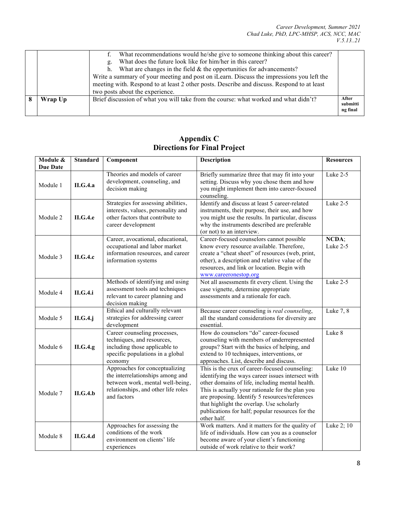| Wrap Up | two posts about the experience.<br>Brief discussion of what you will take from the course: what worked and what didn't?                                                                                                                                                                                                                   | After<br>submitti<br>ng final |
|---------|-------------------------------------------------------------------------------------------------------------------------------------------------------------------------------------------------------------------------------------------------------------------------------------------------------------------------------------------|-------------------------------|
|         | What does the future look like for him/her in this career?<br>д.<br>What are changes in the field $&$ the opportunities for advancements?<br>h.<br>Write a summary of your meeting and post on iLearn. Discuss the impressions you left the<br>meeting with. Respond to at least 2 other posts. Describe and discuss. Respond to at least |                               |
|         | What recommendations would he/she give to someone thinking about this career?                                                                                                                                                                                                                                                             |                               |

| Module &        | <b>Standard</b> | Component                                                                                                                                                    | <b>Description</b>                                                                                                                                                                                                                                                                                                                                                           | <b>Resources</b>  |
|-----------------|-----------------|--------------------------------------------------------------------------------------------------------------------------------------------------------------|------------------------------------------------------------------------------------------------------------------------------------------------------------------------------------------------------------------------------------------------------------------------------------------------------------------------------------------------------------------------------|-------------------|
| <b>Due Date</b> |                 |                                                                                                                                                              |                                                                                                                                                                                                                                                                                                                                                                              |                   |
| Module 1        | <b>II.G.4.a</b> | Theories and models of career<br>development, counseling, and<br>decision making                                                                             | Briefly summarize three that may fit into your<br>setting. Discuss why you chose them and how<br>you might implement them into career-focused<br>counseling.                                                                                                                                                                                                                 | Luke 2-5          |
| Module 2        | <b>II.G.4.e</b> | Strategies for assessing abilities,<br>interests, values, personality and<br>other factors that contribute to<br>career development                          | Identify and discuss at least 5 career-related<br>instruments, their purpose, their use, and how<br>you might use the results. In particular, discuss<br>why the instruments described are preferable<br>(or not) to an interview.                                                                                                                                           | Luke 2-5          |
| Module 3        | ILG.4.c         | Career, avocational, educational,<br>occupational and labor market<br>information resources, and career<br>information systems                               | Career-focused counselors cannot possible<br>know every resource available. Therefore,<br>create a "cheat sheet" of resources (web, print,<br>other), a description and relative value of the<br>resources, and link or location. Begin with<br>www.careeronestop.org                                                                                                        | NCDA;<br>Luke 2-5 |
| Module 4        | <b>II.G.4.i</b> | Methods of identifying and using<br>assessment tools and techniques<br>relevant to career planning and<br>decision making                                    | Not all assessments fit every client. Using the<br>case vignette, determine appropriate<br>assessments and a rationale for each.                                                                                                                                                                                                                                             | Luke 2-5          |
| Module 5        | II.G.4.j        | Ethical and culturally relevant<br>strategies for addressing career<br>development                                                                           | Because career counseling is real counseling,<br>all the standard considerations for diversity are<br>essential.                                                                                                                                                                                                                                                             | Luke 7, 8         |
| Module 6        | II.G.4.g        | Career counseling processes,<br>techniques, and resources,<br>including those applicable to<br>specific populations in a global<br>economy                   | How do counselors "do" career-focused<br>counseling with members of underrepresented<br>groups? Start with the basics of helping, and<br>extend to 10 techniques, interventions, or<br>approaches. List, describe and discuss.                                                                                                                                               | Luke 8            |
| Module 7        | II.G.4.b        | Approaches for conceptualizing<br>the interrelationships among and<br>between work, mental well-being,<br>relationships, and other life roles<br>and factors | This is the crux of career-focused counseling:<br>identifying the ways career issues intersect with<br>other domains of life, including mental health.<br>This is actually your rationale for the plan you<br>are proposing. Identify 5 resources/references<br>that highlight the overlap. Use scholarly<br>publications for half; popular resources for the<br>other half. | Luke 10           |
| Module 8        | <b>II.G.4.d</b> | Approaches for assessing the<br>conditions of the work<br>environment on clients' life<br>experiences                                                        | Work matters. And it matters for the quality of<br>life of individuals. How can you as a counselor<br>become aware of your client's functioning<br>outside of work relative to their work?                                                                                                                                                                                   | Luke 2; 10        |

# **Appendix C Directions for Final Project**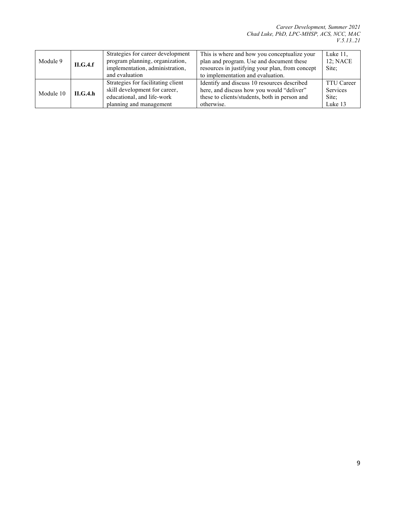| Module 9  | ILG.4.f | Strategies for career development<br>program planning, organization,<br>implementation, administration,<br>and evaluation    | This is where and how you conceptualize your<br>plan and program. Use and document these<br>resources in justifying your plan, from concept<br>to implementation and evaluation. | Luke $11$ ,<br>$12$ ; NACE<br>Site:                      |
|-----------|---------|------------------------------------------------------------------------------------------------------------------------------|----------------------------------------------------------------------------------------------------------------------------------------------------------------------------------|----------------------------------------------------------|
| Module 10 | ILG.4.h | Strategies for facilitating client<br>skill development for career,<br>educational, and life-work<br>planning and management | Identify and discuss 10 resources described<br>here, and discuss how you would "deliver"<br>these to clients/students, both in person and<br>otherwise.                          | <b>TTU Career</b><br><b>Services</b><br>Site:<br>Luke 13 |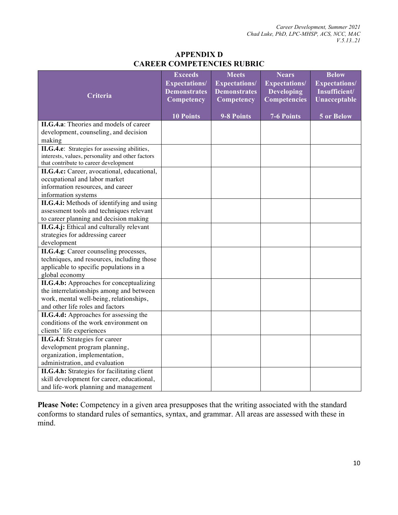# **APPENDIX D CAREER COMPETENCIES RUBRIC**

|                                                                                           | <b>Exceeds</b><br><b>Expectations/</b> | <b>Meets</b><br><b>Expectations/</b> | <b>Nears</b><br><b>Expectations/</b>     | <b>Below</b><br><b>Expectations/</b> |
|-------------------------------------------------------------------------------------------|----------------------------------------|--------------------------------------|------------------------------------------|--------------------------------------|
| Criteria                                                                                  | <b>Demonstrates</b><br>Competency      | <b>Demonstrates</b><br>Competency    | <b>Developing</b><br><b>Competencies</b> | Insufficient/<br>Unacceptable        |
|                                                                                           |                                        |                                      |                                          |                                      |
|                                                                                           | <b>10 Points</b>                       | 9-8 Points                           | 7-6 Points                               | 5 or Below                           |
| II.G.4.a: Theories and models of career                                                   |                                        |                                      |                                          |                                      |
| development, counseling, and decision                                                     |                                        |                                      |                                          |                                      |
| making                                                                                    |                                        |                                      |                                          |                                      |
| II.G.4.e: Strategies for assessing abilities,                                             |                                        |                                      |                                          |                                      |
| interests, values, personality and other factors<br>that contribute to career development |                                        |                                      |                                          |                                      |
| II.G.4.c: Career, avocational, educational,                                               |                                        |                                      |                                          |                                      |
| occupational and labor market                                                             |                                        |                                      |                                          |                                      |
| information resources, and career                                                         |                                        |                                      |                                          |                                      |
| information systems                                                                       |                                        |                                      |                                          |                                      |
| II.G.4.i: Methods of identifying and using                                                |                                        |                                      |                                          |                                      |
| assessment tools and techniques relevant                                                  |                                        |                                      |                                          |                                      |
| to career planning and decision making                                                    |                                        |                                      |                                          |                                      |
| II.G.4.j: Ethical and culturally relevant                                                 |                                        |                                      |                                          |                                      |
| strategies for addressing career                                                          |                                        |                                      |                                          |                                      |
| development                                                                               |                                        |                                      |                                          |                                      |
| II.G.4.g: Career counseling processes,                                                    |                                        |                                      |                                          |                                      |
| techniques, and resources, including those                                                |                                        |                                      |                                          |                                      |
| applicable to specific populations in a                                                   |                                        |                                      |                                          |                                      |
| global economy                                                                            |                                        |                                      |                                          |                                      |
| II.G.4.b: Approaches for conceptualizing                                                  |                                        |                                      |                                          |                                      |
| the interrelationships among and between                                                  |                                        |                                      |                                          |                                      |
| work, mental well-being, relationships,                                                   |                                        |                                      |                                          |                                      |
| and other life roles and factors                                                          |                                        |                                      |                                          |                                      |
| II.G.4.d: Approaches for assessing the                                                    |                                        |                                      |                                          |                                      |
| conditions of the work environment on                                                     |                                        |                                      |                                          |                                      |
| clients' life experiences                                                                 |                                        |                                      |                                          |                                      |
| <b>II.G.4.f:</b> Strategies for career                                                    |                                        |                                      |                                          |                                      |
| development program planning,                                                             |                                        |                                      |                                          |                                      |
| organization, implementation,                                                             |                                        |                                      |                                          |                                      |
| administration, and evaluation                                                            |                                        |                                      |                                          |                                      |
| II.G.4.h: Strategies for facilitating client                                              |                                        |                                      |                                          |                                      |
| skill development for career, educational,                                                |                                        |                                      |                                          |                                      |
| and life-work planning and management                                                     |                                        |                                      |                                          |                                      |

**Please Note:** Competency in a given area presupposes that the writing associated with the standard conforms to standard rules of semantics, syntax, and grammar. All areas are assessed with these in mind.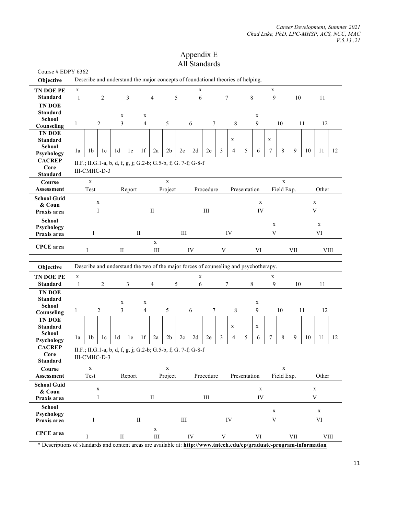# Appendix E All Standards

| Course # EDPY 6362               |                          |                                                                                      |                |                |                |                |                |                |           |             |           |   |                |              |             |                           |             |     |                  |             |    |
|----------------------------------|--------------------------|--------------------------------------------------------------------------------------|----------------|----------------|----------------|----------------|----------------|----------------|-----------|-------------|-----------|---|----------------|--------------|-------------|---------------------------|-------------|-----|------------------|-------------|----|
| Objective                        |                          | Describe and understand the major concepts of foundational theories of helping.      |                |                |                |                |                |                |           |             |           |   |                |              |             |                           |             |     |                  |             |    |
| TN DOE PE                        | $\mathbf X$              |                                                                                      |                |                |                |                |                |                |           | $\mathbf X$ |           |   |                |              |             | $\mathbf X$               |             |     |                  |             |    |
| <b>Standard</b>                  | $\mathbf{1}$             |                                                                                      | $\overline{c}$ |                | $\mathfrak{Z}$ |                | $\overline{4}$ |                | 5         | 6           |           | 7 |                | $8\,$        |             | 9<br>10                   |             |     |                  | 11          |    |
| <b>TN DOE</b>                    |                          |                                                                                      |                |                |                |                |                |                |           |             |           |   |                |              |             |                           |             |     |                  |             |    |
| <b>Standard</b><br><b>School</b> |                          |                                                                                      |                | $\mathbf X$    |                | $\mathbf X$    |                |                |           |             |           |   |                |              | $\mathbf X$ |                           |             |     |                  |             |    |
| Counseling                       | 3<br>$\overline{2}$<br>1 |                                                                                      |                |                |                | $\overline{4}$ |                | 5              |           | 6           | 7         |   | 8              |              | 9           |                           | 10          |     | 11               | 12          |    |
| <b>TN DOE</b>                    |                          |                                                                                      |                |                |                |                |                |                |           |             |           |   |                |              |             |                           |             |     |                  |             |    |
| <b>Standard</b>                  |                          |                                                                                      |                |                |                |                |                |                |           |             |           |   | X              |              |             | X                         |             |     |                  |             |    |
| School                           | 1a                       | 1b                                                                                   | 1c             | 1 <sub>d</sub> | 1e             | 1f             | 2a             | 2 <sub>b</sub> | 2c        | 2d          | 2e        | 3 | $\overline{4}$ | 5            | 6           | 7                         | $\,8\,$     | 9   | 10               | 11          | 12 |
| Psychology<br><b>CACREP</b>      |                          |                                                                                      |                |                |                |                |                |                |           |             |           |   |                |              |             |                           |             |     |                  |             |    |
| Core                             |                          | II.F.; II.G.1-a, b, d, f, g, j; G.2-b; G.5-b, f; G. 7-f; G-8-f                       |                |                |                |                |                |                |           |             |           |   |                |              |             |                           |             |     |                  |             |    |
| <b>Standard</b>                  |                          | III-CMHC-D-3                                                                         |                |                |                |                |                |                |           |             |           |   |                |              |             |                           |             |     |                  |             |    |
| Course                           |                          | $\mathbf X$                                                                          |                |                |                |                |                | $\mathbf X$    |           |             |           |   |                |              |             |                           | $\mathbf X$ |     |                  |             |    |
| Assessment                       |                          | Test                                                                                 |                |                | Report         |                |                | Project        |           |             | Procedure |   |                | Presentation |             |                           | Field Exp.  |     |                  | Other       |    |
| <b>School Guid</b>               |                          | $\mathbf X$                                                                          |                |                |                |                |                |                |           |             |           |   |                |              | $\mathbf X$ |                           |             |     |                  |             |    |
| & Coun                           |                          |                                                                                      | I              |                |                |                | $\rm II$       |                |           |             | Ш         |   |                |              | IV          |                           |             |     | $\mathbf X$<br>V |             |    |
| Praxis area                      |                          |                                                                                      |                |                |                |                |                |                |           |             |           |   |                |              |             |                           |             |     |                  |             |    |
| <b>School</b><br>Psychology      |                          |                                                                                      |                |                |                |                |                |                |           |             |           |   |                |              |             | $\mathbf X$               |             |     |                  | $\mathbf X$ |    |
| Praxis area                      |                          | Ι                                                                                    |                |                |                | $\mathbf{I}$   |                |                | Ш         |             |           |   | IV             |              |             | V                         |             |     |                  | VI          |    |
|                                  |                          |                                                                                      | $\mathbf X$    |                |                |                |                |                |           |             |           |   |                |              |             |                           |             |     |                  |             |    |
| <b>CPCE</b> area                 |                          | I                                                                                    |                | П              |                |                |                |                |           |             |           |   |                |              |             |                           |             | VII |                  | <b>VIII</b> |    |
|                                  |                          |                                                                                      |                |                |                |                | III            |                |           | IV          |           | V |                |              | VI          |                           |             |     |                  |             |    |
|                                  |                          |                                                                                      |                |                |                |                |                |                |           |             |           |   |                |              |             |                           |             |     |                  |             |    |
| Objective                        |                          | Describe and understand the two of the major forces of counseling and psychotherapy. |                |                |                |                |                |                |           |             |           |   |                |              |             |                           |             |     |                  |             |    |
| TN DOE PE                        | $\mathbf X$              |                                                                                      |                |                |                |                |                |                |           | $\mathbf X$ |           |   |                |              |             | $\mathbf X$               |             |     |                  |             |    |
| <b>Standard</b>                  | 1                        |                                                                                      | $\sqrt{2}$     |                | 3              |                | $\overline{4}$ |                | 5         | 6           |           | 7 |                | 8            |             | 9                         |             | 10  |                  | 11          |    |
| <b>TN DOE</b>                    |                          |                                                                                      |                |                |                |                |                |                |           |             |           |   |                |              |             |                           |             |     |                  |             |    |
| <b>Standard</b>                  |                          |                                                                                      |                | $\mathbf X$    |                | $\mathbf X$    |                |                |           |             |           |   |                |              | X           |                           |             |     |                  |             |    |
| <b>School</b>                    | 1                        |                                                                                      | $\overline{2}$ | 3              |                | $\overline{4}$ |                | 5              |           | 6           | 7         |   | 8              |              | 9           |                           | 10          |     | 11               | 12          |    |
| Counseling<br><b>TN DOE</b>      |                          |                                                                                      |                |                |                |                |                |                |           |             |           |   |                |              |             |                           |             |     |                  |             |    |
| <b>Standard</b>                  |                          |                                                                                      |                |                |                |                |                |                |           |             |           |   | $\mathbf X$    |              | X           |                           |             |     |                  |             |    |
| <b>School</b>                    | 1a                       | 1b                                                                                   | 1c             | 1 <sub>d</sub> | 1e             | 1f             | 2a             | 2 <sub>b</sub> | 2c        | 2d          | 2e        | 3 | 4              | 5            | 6           | 7                         | $\,8\,$     | 9   | 10               | 11          | 12 |
| Psychology                       |                          |                                                                                      |                |                |                |                |                |                |           |             |           |   |                |              |             |                           |             |     |                  |             |    |
| <b>CACREP</b><br>Core            |                          | II.F.; II.G.1-a, b, d, f, g, j; G.2-b; G.5-b, f; G. 7-f; G-8-f                       |                |                |                |                |                |                |           |             |           |   |                |              |             |                           |             |     |                  |             |    |
| <b>Standard</b>                  |                          | III-CMHC-D-3                                                                         |                |                |                |                |                |                |           |             |           |   |                |              |             |                           |             |     |                  |             |    |
| Course                           |                          | $\mathbf X$                                                                          |                |                |                |                |                | $\mathbf X$    |           |             |           |   |                |              |             |                           | $\mathbf X$ |     |                  |             |    |
| <b>Assessment</b>                |                          | Test                                                                                 |                |                | Report         |                |                | Project        |           |             | Procedure |   |                | Presentation |             |                           | Field Exp.  |     |                  | Other       |    |
| <b>School Guid</b>               |                          |                                                                                      |                |                |                |                |                |                |           |             |           |   |                |              |             |                           |             |     |                  |             |    |
| & Coun                           |                          |                                                                                      | $\mathbf X$    |                |                |                |                |                |           |             |           |   |                |              | $\mathbf X$ |                           |             |     |                  | $\mathbf X$ |    |
| Praxis area                      |                          |                                                                                      | $\rm I$        |                |                |                | $\rm II$       |                |           |             | $\rm III$ |   |                |              | IV          |                           |             |     |                  | $\mathbf V$ |    |
| <b>School</b>                    |                          |                                                                                      |                |                |                |                |                |                |           |             |           |   |                |              |             | $\mathbf X$               |             |     |                  | $\mathbf X$ |    |
| Psychology<br>Praxis area        |                          | I                                                                                    |                |                |                | $\rm II$       |                |                | $\rm III$ |             |           |   | IV             |              |             | $\ensuremath{\mathsf{V}}$ |             |     |                  | VI          |    |
| <b>CPCE</b> area                 |                          |                                                                                      |                |                |                |                | $\mathbf X$    |                |           |             |           |   |                |              |             |                           |             |     |                  |             |    |

\* Descriptions of standards and content areas are available at: **http://www.tntech.edu/cp/graduate-program-information**